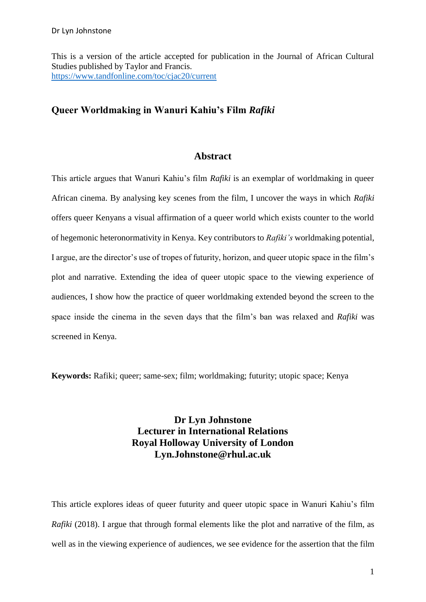This is a version of the article accepted for publication in the Journal of African Cultural Studies published by Taylor and Francis. <https://www.tandfonline.com/toc/cjac20/current>

# **Queer Worldmaking in Wanuri Kahiu's Film** *Rafiki*

## **Abstract**

This article argues that Wanuri Kahiu's film *Rafiki* is an exemplar of worldmaking in queer African cinema. By analysing key scenes from the film, I uncover the ways in which *Rafiki* offers queer Kenyans a visual affirmation of a queer world which exists counter to the world of hegemonic heteronormativity in Kenya. Key contributors to *Rafiki's* worldmaking potential, I argue, are the director's use of tropes of futurity, horizon, and queer utopic space in the film's plot and narrative. Extending the idea of queer utopic space to the viewing experience of audiences, I show how the practice of queer worldmaking extended beyond the screen to the space inside the cinema in the seven days that the film's ban was relaxed and *Rafiki* was screened in Kenya.

**Keywords:** Rafiki; queer; same-sex; film; worldmaking; futurity; utopic space; Kenya

# **Dr Lyn Johnstone Lecturer in International Relations Royal Holloway University of London Lyn.Johnstone@rhul.ac.uk**

This article explores ideas of queer futurity and queer utopic space in Wanuri Kahiu's film *Rafiki* (2018). I argue that through formal elements like the plot and narrative of the film, as well as in the viewing experience of audiences, we see evidence for the assertion that the film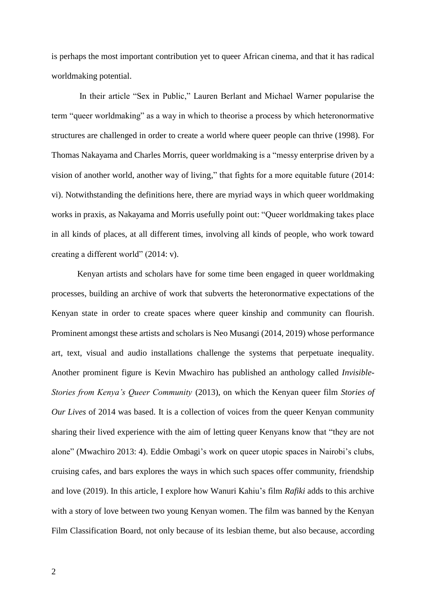is perhaps the most important contribution yet to queer African cinema, and that it has radical worldmaking potential.

In their article "Sex in Public," Lauren Berlant and Michael Warner popularise the term "queer worldmaking" as a way in which to theorise a process by which heteronormative structures are challenged in order to create a world where queer people can thrive (1998). For Thomas Nakayama and Charles Morris, queer worldmaking is a "messy enterprise driven by a vision of another world, another way of living," that fights for a more equitable future (2014: vi). Notwithstanding the definitions here, there are myriad ways in which queer worldmaking works in praxis, as Nakayama and Morris usefully point out: "Queer worldmaking takes place in all kinds of places, at all different times, involving all kinds of people, who work toward creating a different world" (2014: v).

Kenyan artists and scholars have for some time been engaged in queer worldmaking processes, building an archive of work that subverts the heteronormative expectations of the Kenyan state in order to create spaces where queer kinship and community can flourish. Prominent amongst these artists and scholars is Neo Musangi (2014, 2019) whose performance art, text, visual and audio installations challenge the systems that perpetuate inequality. Another prominent figure is Kevin Mwachiro has published an anthology called *Invisible-Stories from Kenya's Queer Community* (2013), on which the Kenyan queer film *Stories of Our Lives* of 2014 was based. It is a collection of voices from the queer Kenyan community sharing their lived experience with the aim of letting queer Kenyans know that "they are not alone" (Mwachiro 2013: 4). Eddie Ombagi's work on queer utopic spaces in Nairobi's clubs, cruising cafes, and bars explores the ways in which such spaces offer community, friendship and love (2019). In this article, I explore how Wanuri Kahiu's film *Rafiki* adds to this archive with a story of love between two young Kenyan women. The film was banned by the Kenyan Film Classification Board, not only because of its lesbian theme, but also because, according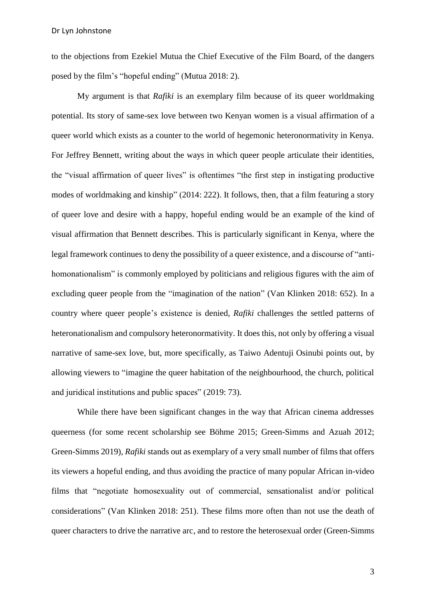Dr Lyn Johnstone

to the objections from Ezekiel Mutua the Chief Executive of the Film Board, of the dangers posed by the film's "hopeful ending" (Mutua 2018: 2).

My argument is that *Rafiki* is an exemplary film because of its queer worldmaking potential. Its story of same-sex love between two Kenyan women is a visual affirmation of a queer world which exists as a counter to the world of hegemonic heteronormativity in Kenya. For Jeffrey Bennett, writing about the ways in which queer people articulate their identities, the "visual affirmation of queer lives" is oftentimes "the first step in instigating productive modes of worldmaking and kinship" (2014: 222). It follows, then, that a film featuring a story of queer love and desire with a happy, hopeful ending would be an example of the kind of visual affirmation that Bennett describes. This is particularly significant in Kenya, where the legal framework continues to deny the possibility of a queer existence, and a discourse of "antihomonationalism" is commonly employed by politicians and religious figures with the aim of excluding queer people from the "imagination of the nation" (Van Klinken 2018: 652). In a country where queer people's existence is denied, *Rafiki* challenges the settled patterns of heteronationalism and compulsory heteronormativity. It does this, not only by offering a visual narrative of same-sex love, but, more specifically, as Taiwo Adentuji Osinubi points out, by allowing viewers to "imagine the queer habitation of the neighbourhood, the church, political and juridical institutions and public spaces" (2019: 73).

While there have been significant changes in the way that African cinema addresses queerness (for some recent scholarship see Böhme 2015; Green-Simms and Azuah 2012; Green-Simms 2019), *Rafiki* stands out as exemplary of a very small number of films that offers its viewers a hopeful ending, and thus avoiding the practice of many popular African in-video films that "negotiate homosexuality out of commercial, sensationalist and/or political considerations" (Van Klinken 2018: 251). These films more often than not use the death of queer characters to drive the narrative arc, and to restore the heterosexual order (Green-Simms

3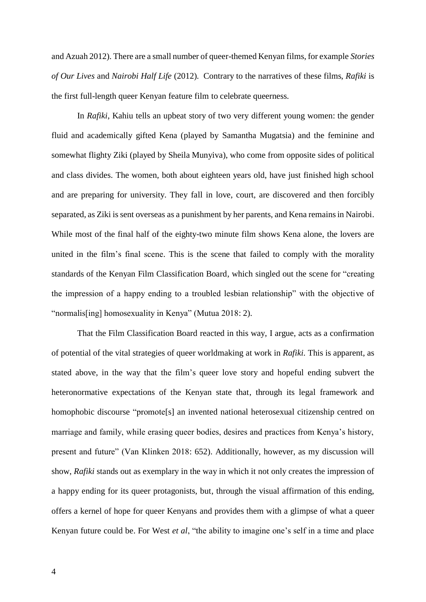and Azuah 2012). There are a small number of queer-themed Kenyan films, for example *Stories of Our Lives* and *Nairobi Half Life* (2012). Contrary to the narratives of these films, *Rafiki* is the first full-length queer Kenyan feature film to celebrate queerness.

In *Rafiki*, Kahiu tells an upbeat story of two very different young women: the gender fluid and academically gifted Kena (played by Samantha Mugatsia) and the feminine and somewhat flighty Ziki (played by Sheila Munyiva), who come from opposite sides of political and class divides. The women, both about eighteen years old, have just finished high school and are preparing for university. They fall in love, court, are discovered and then forcibly separated, as Ziki is sent overseas as a punishment by her parents, and Kena remains in Nairobi. While most of the final half of the eighty-two minute film shows Kena alone, the lovers are united in the film's final scene. This is the scene that failed to comply with the morality standards of the Kenyan Film Classification Board, which singled out the scene for "creating the impression of a happy ending to a troubled lesbian relationship" with the objective of "normalis[ing] homosexuality in Kenya" (Mutua 2018: 2).

That the Film Classification Board reacted in this way, I argue, acts as a confirmation of potential of the vital strategies of queer worldmaking at work in *Rafiki.* This is apparent, as stated above, in the way that the film's queer love story and hopeful ending subvert the heteronormative expectations of the Kenyan state that, through its legal framework and homophobic discourse "promote[s] an invented national heterosexual citizenship centred on marriage and family, while erasing queer bodies, desires and practices from Kenya's history, present and future" (Van Klinken 2018: 652). Additionally, however, as my discussion will show, *Rafiki* stands out as exemplary in the way in which it not only creates the impression of a happy ending for its queer protagonists, but, through the visual affirmation of this ending, offers a kernel of hope for queer Kenyans and provides them with a glimpse of what a queer Kenyan future could be. For West *et al*, "the ability to imagine one's self in a time and place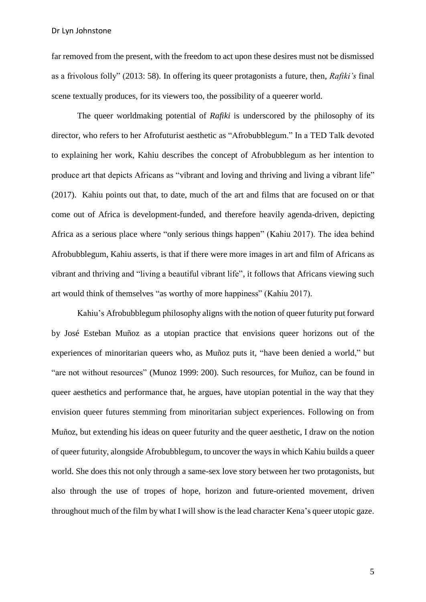far removed from the present, with the freedom to act upon these desires must not be dismissed as a frivolous folly" (2013: 58). In offering its queer protagonists a future, then, *Rafiki's* final scene textually produces, for its viewers too, the possibility of a queerer world.

The queer worldmaking potential of *Rafiki* is underscored by the philosophy of its director, who refers to her Afrofuturist aesthetic as "Afrobubblegum." In a TED Talk devoted to explaining her work, Kahiu describes the concept of Afrobubblegum as her intention to produce art that depicts Africans as "vibrant and loving and thriving and living a vibrant life" (2017). Kahiu points out that, to date, much of the art and films that are focused on or that come out of Africa is development-funded, and therefore heavily agenda-driven, depicting Africa as a serious place where "only serious things happen" (Kahiu 2017). The idea behind Afrobubblegum, Kahiu asserts, is that if there were more images in art and film of Africans as vibrant and thriving and "living a beautiful vibrant life", it follows that Africans viewing such art would think of themselves "as worthy of more happiness" (Kahiu 2017).

Kahiu's Afrobubblegum philosophy aligns with the notion of queer futurity put forward by José Esteban Muñoz as a utopian practice that envisions queer horizons out of the experiences of minoritarian queers who, as Muñoz puts it, "have been denied a world," but "are not without resources" (Munoz 1999: 200). Such resources, for Muñoz, can be found in queer aesthetics and performance that, he argues, have utopian potential in the way that they envision queer futures stemming from minoritarian subject experiences. Following on from Muñoz, but extending his ideas on queer futurity and the queer aesthetic, I draw on the notion of queer futurity, alongside Afrobubblegum, to uncover the ways in which Kahiu builds a queer world. She does this not only through a same-sex love story between her two protagonists, but also through the use of tropes of hope, horizon and future-oriented movement, driven throughout much of the film by what I will show is the lead character Kena's queer utopic gaze.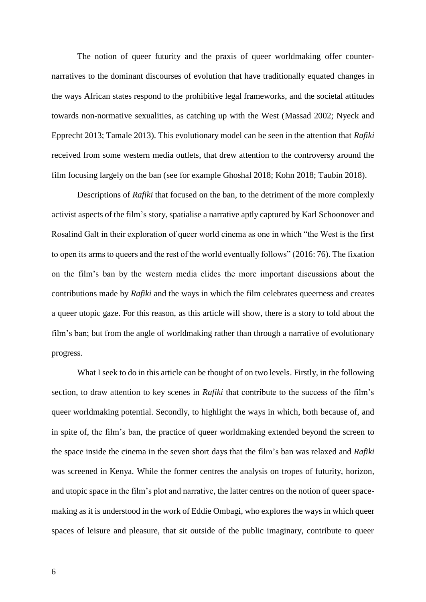The notion of queer futurity and the praxis of queer worldmaking offer counternarratives to the dominant discourses of evolution that have traditionally equated changes in the ways African states respond to the prohibitive legal frameworks, and the societal attitudes towards non-normative sexualities, as catching up with the West (Massad 2002; Nyeck and Epprecht 2013; Tamale 2013). This evolutionary model can be seen in the attention that *Rafiki*  received from some western media outlets, that drew attention to the controversy around the film focusing largely on the ban (see for example Ghoshal 2018; Kohn 2018; Taubin 2018).

Descriptions of *Rafiki* that focused on the ban, to the detriment of the more complexly activist aspects of the film's story, spatialise a narrative aptly captured by Karl Schoonover and Rosalind Galt in their exploration of queer world cinema as one in which "the West is the first to open its arms to queers and the rest of the world eventually follows" (2016: 76). The fixation on the film's ban by the western media elides the more important discussions about the contributions made by *Rafiki* and the ways in which the film celebrates queerness and creates a queer utopic gaze. For this reason, as this article will show, there is a story to told about the film's ban; but from the angle of worldmaking rather than through a narrative of evolutionary progress.

What I seek to do in this article can be thought of on two levels. Firstly, in the following section, to draw attention to key scenes in *Rafiki* that contribute to the success of the film's queer worldmaking potential. Secondly, to highlight the ways in which, both because of, and in spite of, the film's ban, the practice of queer worldmaking extended beyond the screen to the space inside the cinema in the seven short days that the film's ban was relaxed and *Rafiki* was screened in Kenya. While the former centres the analysis on tropes of futurity, horizon, and utopic space in the film's plot and narrative, the latter centres on the notion of queer spacemaking as it is understood in the work of Eddie Ombagi, who explores the ways in which queer spaces of leisure and pleasure, that sit outside of the public imaginary, contribute to queer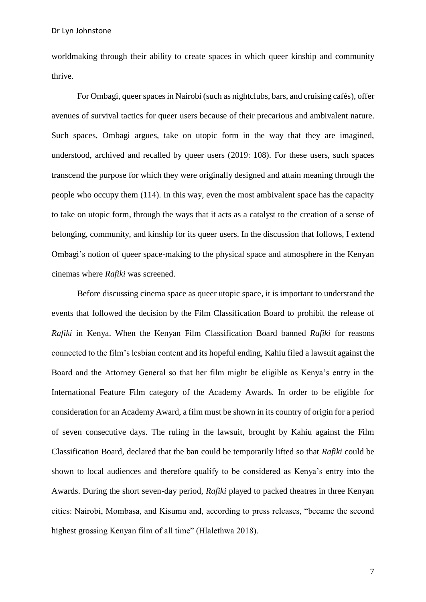worldmaking through their ability to create spaces in which queer kinship and community thrive.

For Ombagi, queer spaces in Nairobi (such as nightclubs, bars, and cruising cafés), offer avenues of survival tactics for queer users because of their precarious and ambivalent nature. Such spaces, Ombagi argues, take on utopic form in the way that they are imagined, understood, archived and recalled by queer users (2019: 108). For these users, such spaces transcend the purpose for which they were originally designed and attain meaning through the people who occupy them (114). In this way, even the most ambivalent space has the capacity to take on utopic form, through the ways that it acts as a catalyst to the creation of a sense of belonging, community, and kinship for its queer users. In the discussion that follows, I extend Ombagi's notion of queer space-making to the physical space and atmosphere in the Kenyan cinemas where *Rafiki* was screened.

Before discussing cinema space as queer utopic space, it is important to understand the events that followed the decision by the Film Classification Board to prohibit the release of *Rafiki* in Kenya. When the Kenyan Film Classification Board banned *Rafiki* for reasons connected to the film's lesbian content and its hopeful ending, Kahiu filed a lawsuit against the Board and the Attorney General so that her film might be eligible as Kenya's entry in the International Feature Film category of the Academy Awards. In order to be eligible for consideration for an Academy Award, a film must be shown in its country of origin for a period of seven consecutive days. The ruling in the lawsuit, brought by Kahiu against the Film Classification Board, declared that the ban could be temporarily lifted so that *Rafiki* could be shown to local audiences and therefore qualify to be considered as Kenya's entry into the Awards. During the short seven-day period, *Rafiki* played to packed theatres in three Kenyan cities: Nairobi, Mombasa, and Kisumu and, according to press releases, "became the second highest grossing Kenyan film of all time" (Hlalethwa 2018).

7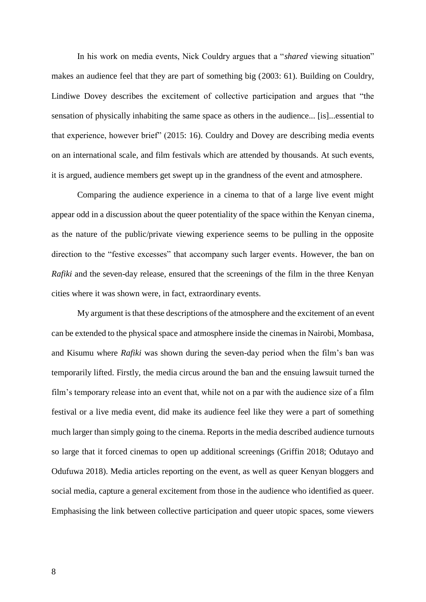In his work on media events, Nick Couldry argues that a "*shared* viewing situation" makes an audience feel that they are part of something big (2003: 61). Building on Couldry, Lindiwe Dovey describes the excitement of collective participation and argues that "the sensation of physically inhabiting the same space as others in the audience... [is]...essential to that experience, however brief" (2015: 16). Couldry and Dovey are describing media events on an international scale, and film festivals which are attended by thousands. At such events, it is argued, audience members get swept up in the grandness of the event and atmosphere.

Comparing the audience experience in a cinema to that of a large live event might appear odd in a discussion about the queer potentiality of the space within the Kenyan cinema, as the nature of the public/private viewing experience seems to be pulling in the opposite direction to the "festive excesses" that accompany such larger events. However, the ban on *Rafiki* and the seven-day release, ensured that the screenings of the film in the three Kenyan cities where it was shown were, in fact, extraordinary events.

My argument is that these descriptions of the atmosphere and the excitement of an event can be extended to the physical space and atmosphere inside the cinemas in Nairobi, Mombasa, and Kisumu where *Rafiki* was shown during the seven-day period when the film's ban was temporarily lifted. Firstly, the media circus around the ban and the ensuing lawsuit turned the film's temporary release into an event that, while not on a par with the audience size of a film festival or a live media event, did make its audience feel like they were a part of something much larger than simply going to the cinema. Reports in the media described audience turnouts so large that it forced cinemas to open up additional screenings (Griffin 2018; Odutayo and Odufuwa 2018). Media articles reporting on the event, as well as queer Kenyan bloggers and social media, capture a general excitement from those in the audience who identified as queer. Emphasising the link between collective participation and queer utopic spaces, some viewers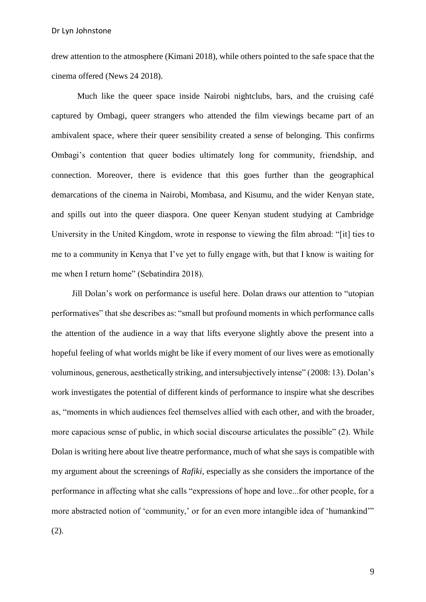drew attention to the atmosphere (Kimani 2018), while others pointed to the safe space that the cinema offered (News 24 2018).

Much like the queer space inside Nairobi nightclubs, bars, and the cruising café captured by Ombagi, queer strangers who attended the film viewings became part of an ambivalent space, where their queer sensibility created a sense of belonging. This confirms Ombagi's contention that queer bodies ultimately long for community, friendship, and connection. Moreover, there is evidence that this goes further than the geographical demarcations of the cinema in Nairobi, Mombasa, and Kisumu, and the wider Kenyan state, and spills out into the queer diaspora. One queer Kenyan student studying at Cambridge University in the United Kingdom, wrote in response to viewing the film abroad: "[it] ties to me to a community in Kenya that I've yet to fully engage with, but that I know is waiting for me when I return home" (Sebatindira 2018).

Jill Dolan's work on performance is useful here. Dolan draws our attention to "utopian performatives" that she describes as: "small but profound moments in which performance calls the attention of the audience in a way that lifts everyone slightly above the present into a hopeful feeling of what worlds might be like if every moment of our lives were as emotionally voluminous, generous, aesthetically striking, and intersubjectively intense" (2008: 13). Dolan's work investigates the potential of different kinds of performance to inspire what she describes as, "moments in which audiences feel themselves allied with each other, and with the broader, more capacious sense of public, in which social discourse articulates the possible" (2). While Dolan is writing here about live theatre performance, much of what she says is compatible with my argument about the screenings of *Rafiki*, especially as she considers the importance of the performance in affecting what she calls "expressions of hope and love...for other people, for a more abstracted notion of 'community,' or for an even more intangible idea of 'humankind'" (2).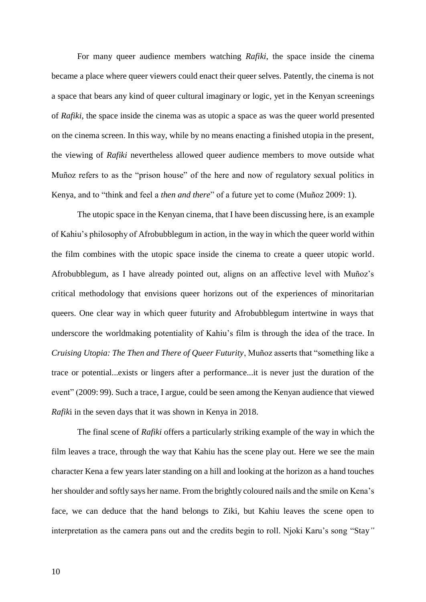For many queer audience members watching *Rafiki*, the space inside the cinema became a place where queer viewers could enact their queer selves. Patently, the cinema is not a space that bears any kind of queer cultural imaginary or logic, yet in the Kenyan screenings of *Rafiki*, the space inside the cinema was as utopic a space as was the queer world presented on the cinema screen. In this way, while by no means enacting a finished utopia in the present, the viewing of *Rafiki* nevertheless allowed queer audience members to move outside what Muñoz refers to as the "prison house" of the here and now of regulatory sexual politics in Kenya, and to "think and feel a *then and there*" of a future yet to come (Muñoz 2009: 1).

The utopic space in the Kenyan cinema, that I have been discussing here, is an example of Kahiu's philosophy of Afrobubblegum in action, in the way in which the queer world within the film combines with the utopic space inside the cinema to create a queer utopic world. Afrobubblegum, as I have already pointed out, aligns on an affective level with Muñoz's critical methodology that envisions queer horizons out of the experiences of minoritarian queers. One clear way in which queer futurity and Afrobubblegum intertwine in ways that underscore the worldmaking potentiality of Kahiu's film is through the idea of the trace. In *Cruising Utopia: The Then and There of Queer Futurity*, Muñoz asserts that "something like a trace or potential...exists or lingers after a performance...it is never just the duration of the event" (2009: 99). Such a trace, I argue, could be seen among the Kenyan audience that viewed *Rafik*i in the seven days that it was shown in Kenya in 2018.

The final scene of *Rafiki* offers a particularly striking example of the way in which the film leaves a trace, through the way that Kahiu has the scene play out. Here we see the main character Kena a few years later standing on a hill and looking at the horizon as a hand touches her shoulder and softly says her name. From the brightly coloured nails and the smile on Kena's face, we can deduce that the hand belongs to Ziki, but Kahiu leaves the scene open to interpretation as the camera pans out and the credits begin to roll. Njoki Karu's song "Stay*"*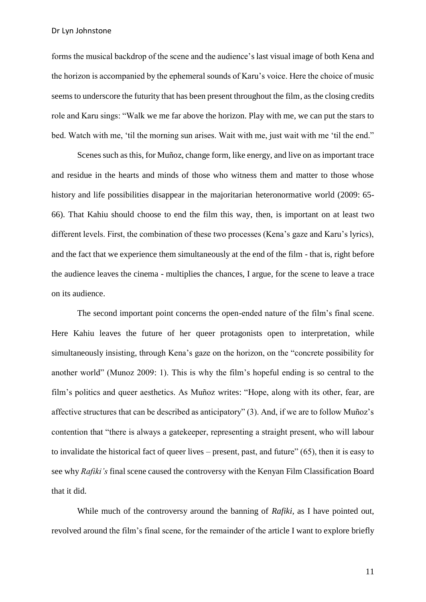Dr Lyn Johnstone

forms the musical backdrop of the scene and the audience's last visual image of both Kena and the horizon is accompanied by the ephemeral sounds of Karu's voice. Here the choice of music seems to underscore the futurity that has been present throughout the film, as the closing credits role and Karu sings: "Walk we me far above the horizon. Play with me, we can put the stars to bed. Watch with me, 'til the morning sun arises. Wait with me, just wait with me 'til the end."

Scenes such as this, for Muñoz, change form, like energy, and live on as important trace and residue in the hearts and minds of those who witness them and matter to those whose history and life possibilities disappear in the majoritarian heteronormative world (2009: 65- 66). That Kahiu should choose to end the film this way, then, is important on at least two different levels. First, the combination of these two processes (Kena's gaze and Karu's lyrics), and the fact that we experience them simultaneously at the end of the film - that is, right before the audience leaves the cinema - multiplies the chances, I argue, for the scene to leave a trace on its audience.

The second important point concerns the open-ended nature of the film's final scene. Here Kahiu leaves the future of her queer protagonists open to interpretation, while simultaneously insisting, through Kena's gaze on the horizon, on the "concrete possibility for another world" (Munoz 2009: 1). This is why the film's hopeful ending is so central to the film's politics and queer aesthetics. As Muñoz writes: "Hope, along with its other, fear, are affective structures that can be described as anticipatory" (3). And, if we are to follow Muñoz's contention that "there is always a gatekeeper, representing a straight present, who will labour to invalidate the historical fact of queer lives – present, past, and future" (65), then it is easy to see why *Rafiki's* final scene caused the controversy with the Kenyan Film Classification Board that it did.

While much of the controversy around the banning of *Rafiki,* as I have pointed out, revolved around the film's final scene, for the remainder of the article I want to explore briefly

11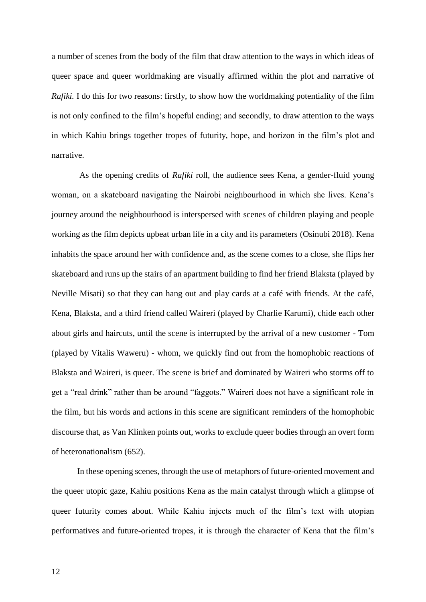a number of scenes from the body of the film that draw attention to the ways in which ideas of queer space and queer worldmaking are visually affirmed within the plot and narrative of *Rafiki.* I do this for two reasons: firstly, to show how the worldmaking potentiality of the film is not only confined to the film's hopeful ending; and secondly, to draw attention to the ways in which Kahiu brings together tropes of futurity, hope, and horizon in the film's plot and narrative.

As the opening credits of *Rafiki* roll, the audience sees Kena, a gender-fluid young woman, on a skateboard navigating the Nairobi neighbourhood in which she lives. Kena's journey around the neighbourhood is interspersed with scenes of children playing and people working as the film depicts upbeat urban life in a city and its parameters (Osinubi 2018). Kena inhabits the space around her with confidence and, as the scene comes to a close, she flips her skateboard and runs up the stairs of an apartment building to find her friend Blaksta (played by Neville Misati) so that they can hang out and play cards at a café with friends. At the café, Kena, Blaksta, and a third friend called Waireri (played by Charlie Karumi), chide each other about girls and haircuts, until the scene is interrupted by the arrival of a new customer - Tom (played by Vitalis Waweru) - whom, we quickly find out from the homophobic reactions of Blaksta and Waireri, is queer. The scene is brief and dominated by Waireri who storms off to get a "real drink" rather than be around "faggots." Waireri does not have a significant role in the film, but his words and actions in this scene are significant reminders of the homophobic discourse that, as Van Klinken points out, works to exclude queer bodies through an overt form of heteronationalism (652).

In these opening scenes, through the use of metaphors of future-oriented movement and the queer utopic gaze, Kahiu positions Kena as the main catalyst through which a glimpse of queer futurity comes about. While Kahiu injects much of the film's text with utopian performatives and future-oriented tropes, it is through the character of Kena that the film's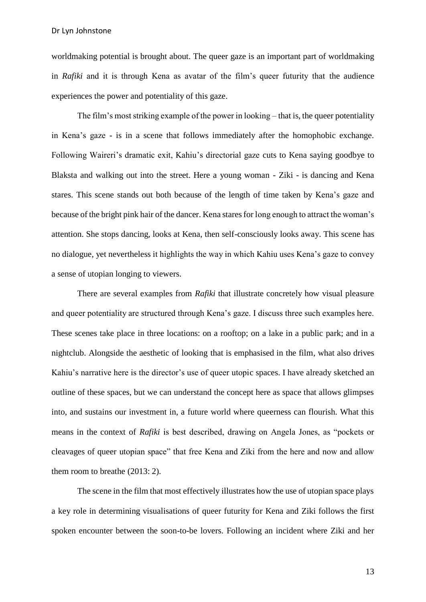worldmaking potential is brought about. The queer gaze is an important part of worldmaking in *Rafiki* and it is through Kena as avatar of the film's queer futurity that the audience experiences the power and potentiality of this gaze.

The film's most striking example of the power in looking – that is, the queer potentiality in Kena's gaze - is in a scene that follows immediately after the homophobic exchange. Following Waireri's dramatic exit, Kahiu's directorial gaze cuts to Kena saying goodbye to Blaksta and walking out into the street. Here a young woman - Ziki - is dancing and Kena stares. This scene stands out both because of the length of time taken by Kena's gaze and because of the bright pink hair of the dancer. Kena stares for long enough to attract the woman's attention. She stops dancing, looks at Kena, then self-consciously looks away. This scene has no dialogue, yet nevertheless it highlights the way in which Kahiu uses Kena's gaze to convey a sense of utopian longing to viewers.

There are several examples from *Rafiki* that illustrate concretely how visual pleasure and queer potentiality are structured through Kena's gaze. I discuss three such examples here. These scenes take place in three locations: on a rooftop; on a lake in a public park; and in a nightclub. Alongside the aesthetic of looking that is emphasised in the film, what also drives Kahiu's narrative here is the director's use of queer utopic spaces. I have already sketched an outline of these spaces, but we can understand the concept here as space that allows glimpses into, and sustains our investment in, a future world where queerness can flourish. What this means in the context of *Rafiki* is best described, drawing on Angela Jones, as "pockets or cleavages of queer utopian space" that free Kena and Ziki from the here and now and allow them room to breathe (2013: 2).

The scene in the film that most effectively illustrates how the use of utopian space plays a key role in determining visualisations of queer futurity for Kena and Ziki follows the first spoken encounter between the soon-to-be lovers. Following an incident where Ziki and her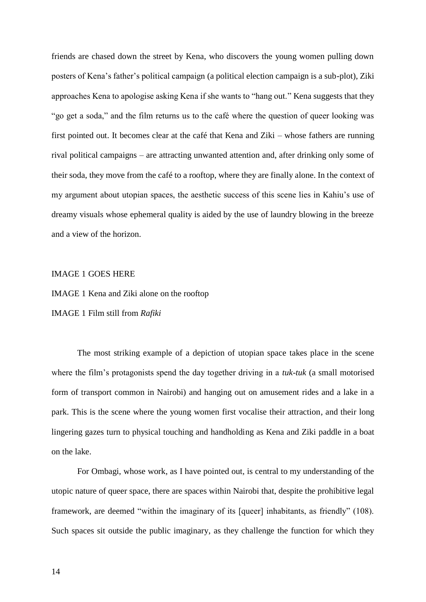friends are chased down the street by Kena, who discovers the young women pulling down posters of Kena's father's political campaign (a political election campaign is a sub-plot), Ziki approaches Kena to apologise asking Kena if she wants to "hang out." Kena suggests that they "go get a soda," and the film returns us to the café where the question of queer looking was first pointed out. It becomes clear at the café that Kena and Ziki – whose fathers are running rival political campaigns – are attracting unwanted attention and, after drinking only some of their soda, they move from the café to a rooftop, where they are finally alone. In the context of my argument about utopian spaces, the aesthetic success of this scene lies in Kahiu's use of dreamy visuals whose ephemeral quality is aided by the use of laundry blowing in the breeze and a view of the horizon.

## IMAGE 1 GOES HERE

IMAGE 1 Kena and Ziki alone on the rooftop

IMAGE 1 Film still from *Rafiki*

The most striking example of a depiction of utopian space takes place in the scene where the film's protagonists spend the day together driving in a *tuk-tuk* (a small motorised form of transport common in Nairobi) and hanging out on amusement rides and a lake in a park. This is the scene where the young women first vocalise their attraction, and their long lingering gazes turn to physical touching and handholding as Kena and Ziki paddle in a boat on the lake.

For Ombagi, whose work, as I have pointed out, is central to my understanding of the utopic nature of queer space, there are spaces within Nairobi that, despite the prohibitive legal framework, are deemed "within the imaginary of its [queer] inhabitants, as friendly" (108). Such spaces sit outside the public imaginary, as they challenge the function for which they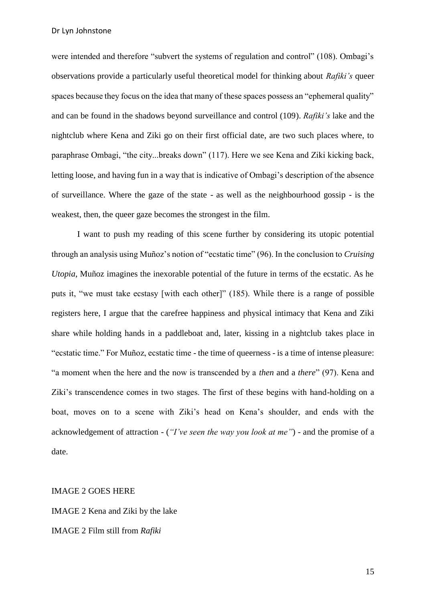Dr Lyn Johnstone

were intended and therefore "subvert the systems of regulation and control" (108). Ombagi's observations provide a particularly useful theoretical model for thinking about *Rafiki's* queer spaces because they focus on the idea that many of these spaces possess an "ephemeral quality" and can be found in the shadows beyond surveillance and control (109). *Rafiki's* lake and the nightclub where Kena and Ziki go on their first official date, are two such places where, to paraphrase Ombagi, "the city...breaks down" (117). Here we see Kena and Ziki kicking back, letting loose, and having fun in a way that is indicative of Ombagi's description of the absence of surveillance. Where the gaze of the state - as well as the neighbourhood gossip - is the weakest, then, the queer gaze becomes the strongest in the film.

I want to push my reading of this scene further by considering its utopic potential through an analysis using Muñoz's notion of "ecstatic time" (96). In the conclusion to *Cruising Utopia*, Muñoz imagines the inexorable potential of the future in terms of the ecstatic. As he puts it, "we must take ecstasy [with each other]" (185). While there is a range of possible registers here, I argue that the carefree happiness and physical intimacy that Kena and Ziki share while holding hands in a paddleboat and, later, kissing in a nightclub takes place in "ecstatic time." For Muñoz, ecstatic time - the time of queerness - is a time of intense pleasure: "a moment when the here and the now is transcended by a *then* and a *there*" (97). Kena and Ziki's transcendence comes in two stages. The first of these begins with hand-holding on a boat, moves on to a scene with Ziki's head on Kena's shoulder, and ends with the acknowledgement of attraction - (*"I've seen the way you look at me"*) - and the promise of a date.

## IMAGE 2 GOES HERE

IMAGE 2 Kena and Ziki by the lake IMAGE 2 Film still from *Rafiki*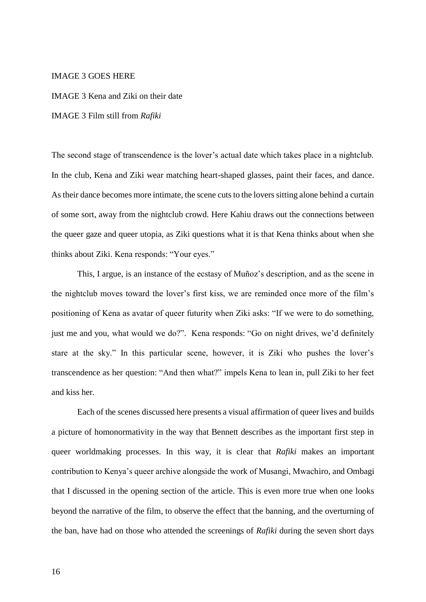### IMAGE 3 GOES HERE

IMAGE 3 Kena and Ziki on their date

IMAGE 3 Film still from *Rafiki*

The second stage of transcendence is the lover's actual date which takes place in a nightclub. In the club, Kena and Ziki wear matching heart-shaped glasses, paint their faces, and dance. As their dance becomes more intimate, the scene cuts to the lovers sitting alone behind a curtain of some sort, away from the nightclub crowd. Here Kahiu draws out the connections between the queer gaze and queer utopia, as Ziki questions what it is that Kena thinks about when she thinks about Ziki. Kena responds: "Your eyes."

This, I argue, is an instance of the ecstasy of Muñoz's description, and as the scene in the nightclub moves toward the lover's first kiss, we are reminded once more of the film's positioning of Kena as avatar of queer futurity when Ziki asks: "If we were to do something, just me and you, what would we do?". Kena responds: "Go on night drives, we'd definitely stare at the sky." In this particular scene, however, it is Ziki who pushes the lover's transcendence as her question: "And then what?" impels Kena to lean in, pull Ziki to her feet and kiss her.

Each of the scenes discussed here presents a visual affirmation of queer lives and builds a picture of homonormativity in the way that Bennett describes as the important first step in queer worldmaking processes. In this way, it is clear that *Rafiki* makes an important contribution to Kenya's queer archive alongside the work of Musangi, Mwachiro, and Ombagi that I discussed in the opening section of the article. This is even more true when one looks beyond the narrative of the film, to observe the effect that the banning, and the overturning of the ban, have had on those who attended the screenings of *Rafiki* during the seven short days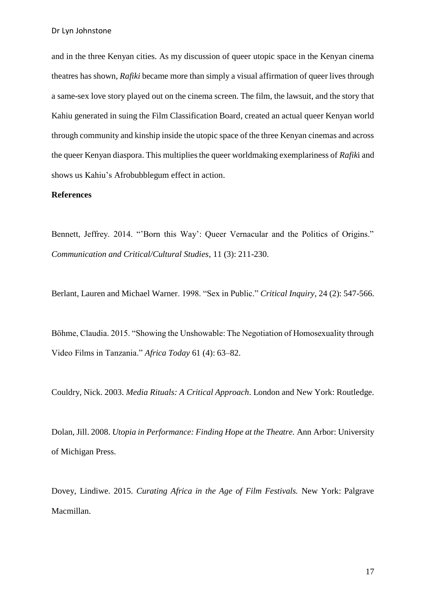and in the three Kenyan cities. As my discussion of queer utopic space in the Kenyan cinema theatres has shown, *Rafiki* became more than simply a visual affirmation of queer lives through a same-sex love story played out on the cinema screen. The film, the lawsuit, and the story that Kahiu generated in suing the Film Classification Board, created an actual queer Kenyan world through community and kinship inside the utopic space of the three Kenyan cinemas and across the queer Kenyan diaspora. This multiplies the queer worldmaking exemplariness of *Rafik*i and shows us Kahiu's Afrobubblegum effect in action.

### **References**

Bennett, Jeffrey. 2014. "'Born this Way': Queer Vernacular and the Politics of Origins." *Communication and Critical/Cultural Studies*, 11 (3): 211-230.

Berlant, Lauren and Michael Warner. 1998. "Sex in Public." *Critical Inquiry*, 24 (2): 547-566.

Böhme, Claudia. 2015. "Showing the Unshowable: The Negotiation of Homosexuality through Video Films in Tanzania." *Africa Today* 61 (4): 63–82.

Couldry, Nick. 2003. *Media Rituals: A Critical Approach*. London and New York: Routledge.

Dolan, Jill. 2008. *Utopia in Performance: Finding Hope at the Theatre.* Ann Arbor: University of Michigan Press.

Dovey, Lindiwe. 2015. *Curating Africa in the Age of Film Festivals.* New York: Palgrave Macmillan.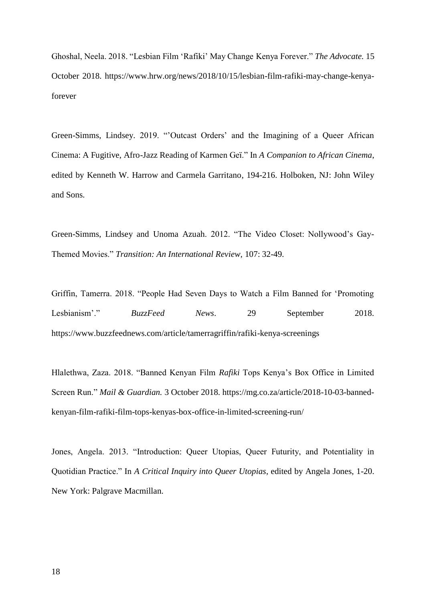Ghoshal, Neela. 2018. "Lesbian Film 'Rafiki' May Change Kenya Forever." *The Advocate.* 15 October 2018. https://www.hrw.org/news/2018/10/15/lesbian-film-rafiki-may-change-kenyaforever

Green-Simms, Lindsey. 2019. "'Outcast Orders' and the Imagining of a Queer African Cinema: A Fugitive, Afro-Jazz Reading of Karmen Geï." In *A Companion to African Cinema*, edited by Kenneth W. Harrow and Carmela Garritano, 194-216. Holboken, NJ: John Wiley and Sons.

Green-Simms, Lindsey and Unoma Azuah. 2012. "The Video Closet: Nollywood's Gay-Themed Movies." *Transition: An International Review,* 107: 32-49.

Griffin, Tamerra. 2018. "People Had Seven Days to Watch a Film Banned for 'Promoting Lesbianism'." *BuzzFeed News*. 29 September 2018. https://www.buzzfeednews.com/article/tamerragriffin/rafiki-kenya-screenings

Hlalethwa, Zaza. 2018. "Banned Kenyan Film *Rafiki* Tops Kenya's Box Office in Limited Screen Run." *Mail & Guardian.* 3 October 2018. https://mg.co.za/article/2018-10-03-bannedkenyan-film-rafiki-film-tops-kenyas-box-office-in-limited-screening-run/

Jones, Angela. 2013. "Introduction: Queer Utopias, Queer Futurity, and Potentiality in Quotidian Practice." In *A Critical Inquiry into Queer Utopias*, edited by Angela Jones, 1-20. New York: Palgrave Macmillan.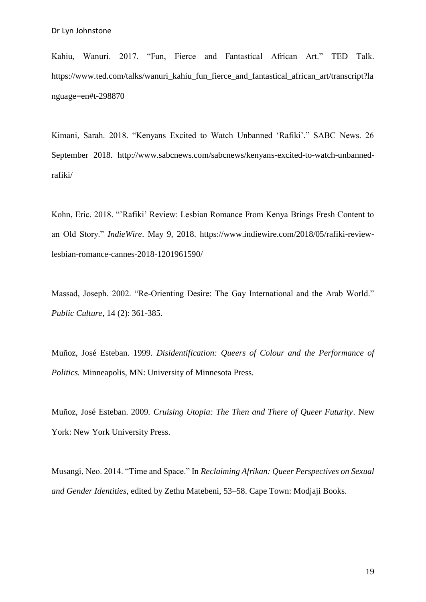Kahiu, Wanuri. 2017. "Fun, Fierce and Fantastical African Art." TED Talk. https://www.ted.com/talks/wanuri\_kahiu\_fun\_fierce\_and\_fantastical\_african\_art/transcript?la nguage=en#t-298870

Kimani, Sarah. 2018. "Kenyans Excited to Watch Unbanned 'Rafiki'." SABC News. 26 September 2018. http://www.sabcnews.com/sabcnews/kenyans-excited-to-watch-unbannedrafiki/

Kohn, Eric. 2018. "'Rafiki' Review: Lesbian Romance From Kenya Brings Fresh Content to an Old Story." *IndieWire*. May 9, 2018. https://www.indiewire.com/2018/05/rafiki-reviewlesbian-romance-cannes-2018-1201961590/

Massad, Joseph. 2002. "Re-Orienting Desire: The Gay International and the Arab World." *Public Culture,* 14 (2): 361-385.

Muñoz, José Esteban. 1999. *Disidentification: Queers of Colour and the Performance of Politics.* Minneapolis, MN: University of Minnesota Press.

Muñoz, José Esteban. 2009*. Cruising Utopia: The Then and There of Queer Futurity*. New York: New York University Press.

Musangi, Neo. 2014. "Time and Space." In *Reclaiming Afrikan: Queer Perspectives on Sexual and Gender Identities*, edited by Zethu Matebeni, 53–58. Cape Town: Modjaji Books.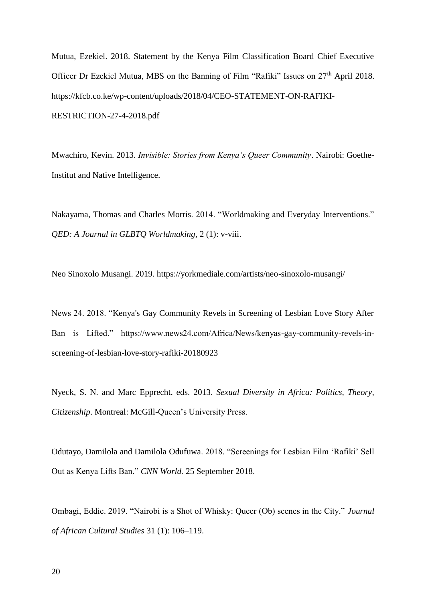Mutua, Ezekiel. 2018. Statement by the Kenya Film Classification Board Chief Executive Officer Dr Ezekiel Mutua, MBS on the Banning of Film "Rafiki" Issues on 27<sup>th</sup> April 2018. https://kfcb.co.ke/wp-content/uploads/2018/04/CEO-STATEMENT-ON-RAFIKI-RESTRICTION-27-4-2018.pdf

Mwachiro, Kevin. 2013. *Invisible: Stories from Kenya's Queer Community*. Nairobi: Goethe-Institut and Native Intelligence.

Nakayama, Thomas and Charles Morris. 2014. "Worldmaking and Everyday Interventions." *QED: A Journal in GLBTQ Worldmaking,* 2 (1): v-viii.

Neo Sinoxolo Musangi. 2019. https://yorkmediale.com/artists/neo-sinoxolo-musangi/

News 24. 2018. "Kenya's Gay Community Revels in Screening of Lesbian Love Story After Ban is Lifted." https://www.news24.com/Africa/News/kenyas-gay-community-revels-inscreening-of-lesbian-love-story-rafiki-20180923

Nyeck, S. N. and Marc Epprecht. eds. 2013. *Sexual Diversity in Africa: Politics, Theory, Citizenship*. Montreal: McGill-Queen's University Press.

Odutayo, Damilola and Damilola Odufuwa. 2018. "Screenings for Lesbian Film 'Rafiki' Sell Out as Kenya Lifts Ban." *CNN World.* 25 September 2018.

Ombagi, Eddie. 2019. "Nairobi is a Shot of Whisky: Queer (Ob) scenes in the City." *Journal of African Cultural Studies* 31 (1): 106–119.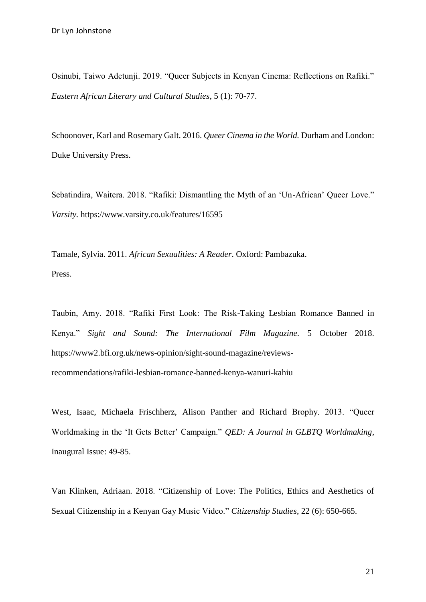Osinubi, Taiwo Adetunji. 2019. "Queer Subjects in Kenyan Cinema: Reflections on Rafiki." *Eastern African Literary and Cultural Studies*, 5 (1): 70-77.

Schoonover, Karl and Rosemary Galt. 2016. *Queer Cinema in the World.* Durham and London: Duke University Press.

Sebatindira, Waitera. 2018. "Rafiki: Dismantling the Myth of an 'Un-African' Queer Love." *Varsity.* https://www.varsity.co.uk/features/16595

Tamale, Sylvia. 2011. *African Sexualities: A Reader*. Oxford: Pambazuka. Press.

Taubin, Amy. 2018. "Rafiki First Look: The Risk-Taking Lesbian Romance Banned in Kenya." *Sight and Sound: The International Film Magazine.* 5 October 2018. https://www2.bfi.org.uk/news-opinion/sight-sound-magazine/reviewsrecommendations/rafiki-lesbian-romance-banned-kenya-wanuri-kahiu

West, Isaac, Michaela Frischherz, Alison Panther and Richard Brophy. 2013. "Queer Worldmaking in the 'It Gets Better' Campaign." *QED: A Journal in GLBTQ Worldmaking*, Inaugural Issue: 49-85.

Van Klinken, Adriaan. 2018. "Citizenship of Love: The Politics, Ethics and Aesthetics of Sexual Citizenship in a Kenyan Gay Music Video." *Citizenship Studies*, 22 (6): 650-665.